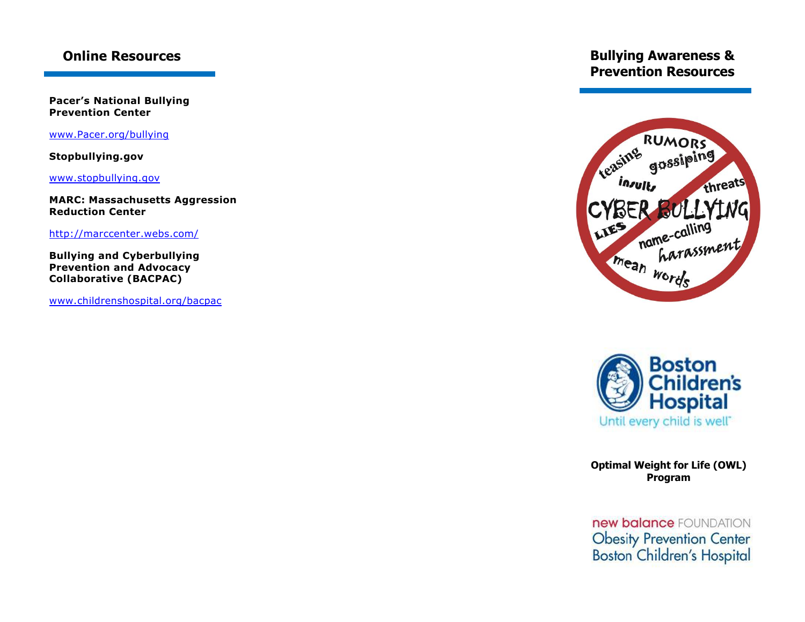## **Online Resources**

**Pacer's National Bullying Prevention Center**

<www.Pacer.org/bullying>

**Stopbullying.gov**

[www.stopbullying.gov](http://www.stopbullying.gov/)

**MARC: Massachusetts Aggression Reduction Center**

<http://marccenter.webs.com/>

**Bullying and Cyberbullying Prevention and Advocacy Collaborative (BACPAC)**

<www.childrenshospital.org/bacpac>

# **Bullying Awareness & Prevention Resources**





**Optimal Weight for Life (OWL) Program**

new balance FOUNDATION Obesity Prevention Center<br>Boston Children's Hospital